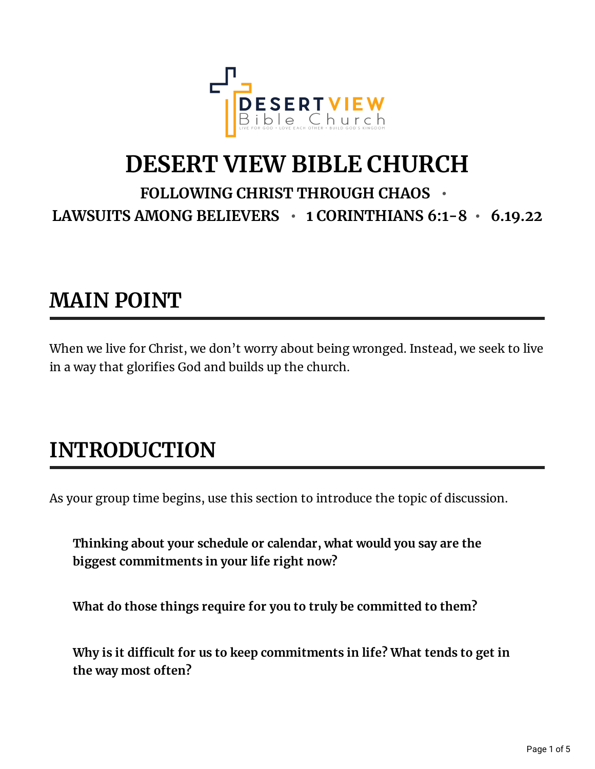

## **DESERT VIEW BIBLE CHURCH**

#### **FOLLOWING CHRIST THROUGH CHAOS • LAWSUITS AMONG BELIEVERS • 1 CORINTHIANS 6:1-8 • 6.19.22**

## **MAIN POINT**

When we live for Christ, we don't worry about being wronged. Instead, we seek to live in a way that glorifies God and builds up the church.

## **INTRODUCTION**

As your group time begins, use this section to introduce the topic of discussion.

**Thinking about your schedule or calendar, what would you say are the biggest commitments in your life right now?**

**What do those things require for you to truly be committed to them?**

**Why is it dicult for us to keep commitments in life? What tends to get in the way most often?**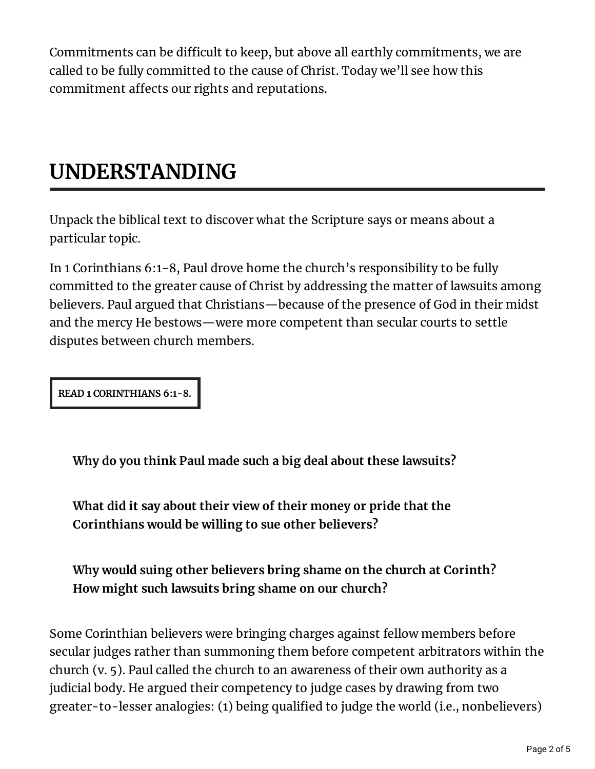Commitments can be difficult to keep, but above all earthly commitments, we are called to be fully committed to the cause of Christ. Today we'll see how this commitment affects our rights and reputations.

## **UNDERSTANDING**

Unpack the biblical text to discover what the Scripture says or means about a particular topic.

In 1 Corinthians 6:1-8, Paul drove home the church's responsibility to be fully committed to the greater cause of Christ by addressing the matter of lawsuits among believers. Paul argued that Christians—because of the presence of God in their midst and the mercy He bestows—were more competent than secular courts to settle disputes between church members.

**READ 1 CORINTHIANS 6:1-8.**

**Why do you think Paul made such a big deal about these lawsuits?**

**What did it say about their view of their money or pride that the Corinthians would be willing to sue other believers?**

**Why would suing other believers bring shame on the church at Corinth? How might such lawsuits bring shame on our church?**

Some Corinthian believers were bringing charges against fellow members before secular judges rather than summoning them before competent arbitrators within the church (v. 5). Paul called the church to an awareness of their own authority as a judicial body. He argued their competency to judge cases by drawing from two greater-to-lesser analogies: (1) being qualified to judge the world (i.e., nonbelievers)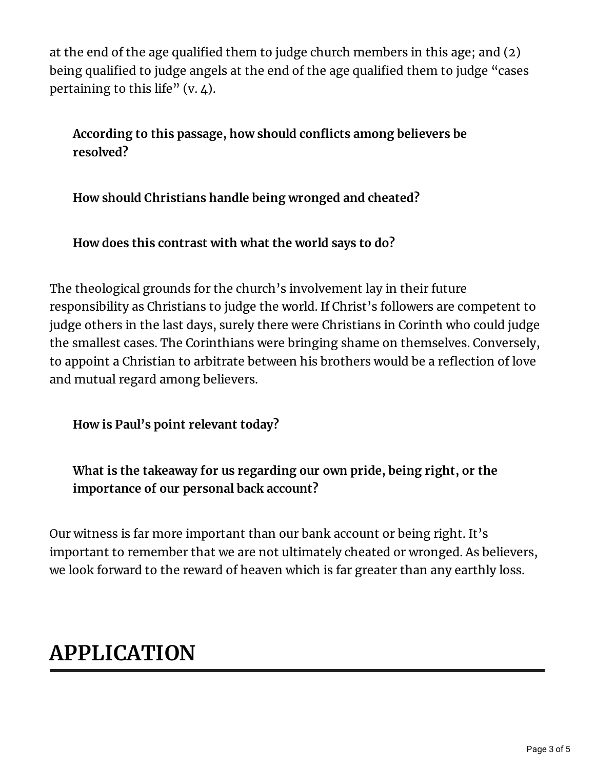at the end of the age qualified them to judge church members in this age; and  $(2)$ being qualified to judge angels at the end of the age qualified them to judge "cases pertaining to this life"  $(v, 4)$ .

**According to this passage, how should conicts among believers be resolved?**

**How should Christians handle being wronged and cheated?**

**How does this contrast with what the world says to do?**

The theological grounds for the church's involvement lay in their future responsibility as Christians to judge the world. If Christ's followers are competent to judge others in the last days, surely there were Christians in Corinth who could judge the smallest cases. The Corinthians were bringing shame on themselves. Conversely, to appoint a Christian to arbitrate between his brothers would be a reflection of love and mutual regard among believers.

**How is Paul's point relevant today?**

**What is the takeaway for us regarding our own pride, being right, or the importance of our personal back account?**

Our witness is far more important than our bank account or being right. It's important to remember that we are not ultimately cheated or wronged. As believers, we look forward to the reward of heaven which is far greater than any earthly loss.

# **APPLICATION**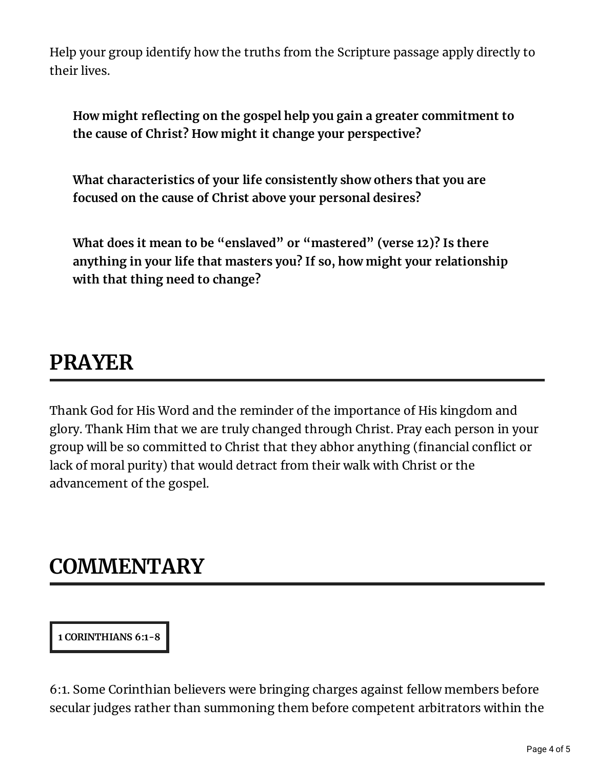Help your group identify how the truths from the Scripture passage apply directly to their lives.

**How might reecting on the gospel help you gain a greater commitment to the cause of Christ? How might it change your perspective?**

**What characteristics of your life consistently show others that you are focused on the cause of Christ above your personal desires?**

**What does it mean to be "enslaved" or "mastered" (verse 12)? Is there anything in your life that masters you? If so, how might your relationship with that thing need to change?**

## **PRAYER**

Thank God for His Word and the reminder of the importance of His kingdom and glory. Thank Him that we are truly changed through Christ. Pray each person in your group will be so committed to Christ that they abhor anything (financial conflict or lack of moral purity) that would detract from their walk with Christ or the advancement of the gospel.

#### **COMMENTARY**

**1 CORINTHIANS 6:1-8**

6:1. Some Corinthian believers were bringing charges against fellow members before secular judges rather than summoning them before competent arbitrators within the